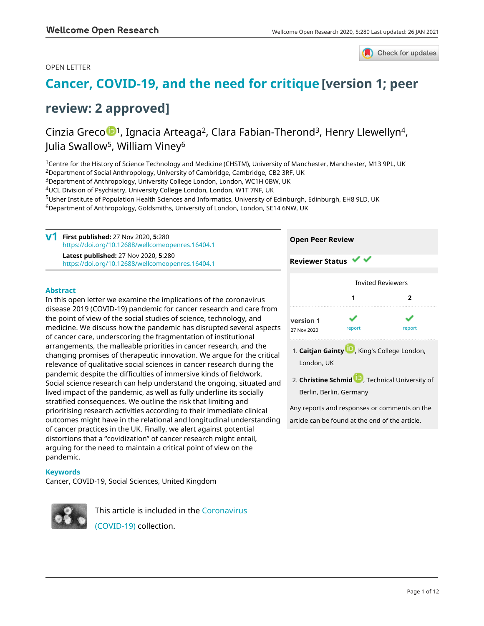### OPEN LETTER



## **[Cancer, COVID-19, and the need for critique](https://wellcomeopenresearch.org/articles/5-280/v1) [version 1; peer**

## **review: 2 approved]**

## Cinzia Greco <sup>1</sup>, Ignacia Arteaga<sup>2</sup>, Clara Fabian-Therond<sup>3</sup>, Henry Llewellyn<sup>4</sup>, Julia Swallow<sup>5</sup>, William Viney<sup>6</sup>

<sup>1</sup>Centre for the History of Science Technology and Medicine (CHSTM), University of Manchester, Manchester, M13 9PL, UK <sup>2</sup>Department of Social Anthropology, University of Cambridge, Cambridge, CB2 3RF, UK

<sup>3</sup>Department of Anthropology, University College London, London, WC1H 0BW, UK

<sup>4</sup>UCL Division of Psychiatry, University College London, London, W1T 7NF, UK

<sup>5</sup>Usher Institute of Population Health Sciences and Informatics, University of Edinburgh, Edinburgh, EH8 9LD, UK

<sup>6</sup>Department of Anthropology, Goldsmiths, University of London, London, SE14 6NW, UK

**First published:** 27 Nov 2020, **5**:280 **v1** <https://doi.org/10.12688/wellcomeopenres.16404.1> **Latest published:** 27 Nov 2020, **5**:280 <https://doi.org/10.12688/wellcomeopenres.16404.1> **Open Peer Review Reviewer Status**

### **Abstract**

In this open letter we examine the implications of the coronavirus disease 2019 (COVID-19) pandemic for cancer research and care from the point of view of the social studies of science, technology, and medicine. We discuss how the pandemic has disrupted several aspects of cancer care, underscoring the fragmentation of institutional arrangements, the malleable priorities in cancer research, and the changing promises of therapeutic innovation. We argue for the critical relevance of qualitative social sciences in cancer research during the pandemic despite the difficulties of immersive kinds of fieldwork. Social science research can help understand the ongoing, situated and lived impact of the pandemic, as well as fully underline its socially stratified consequences. We outline the risk that limiting and prioritising research activities according to their immediate clinical outcomes might have in the relational and longitudinal understanding of cancer practices in the UK. Finally, we alert against potential distortions that a "covidization" of cancer research might entail, arguing for the need to maintain a critical point of view on the pandemic.

# Invited Reviewers **1 2 [version 1](https://wellcomeopenresearch.org/articles/5-280/v1)** 27 Nov 2020 **[report](jar:file:/work/f1000research/webapps/ROOT/WEB-INF/lib/service-1.0-SNAPSHOT.jar!/com/f1000research/service/export/pdf/#)** report report 1. **Caitjan Gainty U.,** King's College London, London, UK

**Christine Schmid** [,](https://orcid.org/0000-0002-6936-4828) Technical University of 2. Berlin, Berlin, Germany

Any reports and responses or comments on the article can be found at the end of the article.

#### **Keywords**

Cancer, COVID-19, Social Sciences, United Kingdom



This article is included in the [Coronavirus](https://wellcomeopenresearch.org/collections/covid19) [\(COVID-19\)](https://wellcomeopenresearch.org/collections/covid19) collection.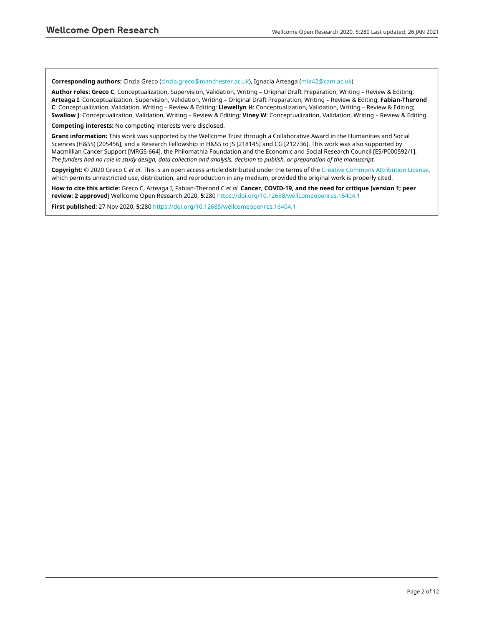#### **Corresponding authors:** Cinzia Greco [\(cinzia.greco@manchester.ac.uk](mailto:cinzia.greco@manchester.ac.uk)), Ignacia Arteaga [\(mia42@cam.ac.uk\)](mailto:mia42@cam.ac.uk)

**Author roles: Greco C**: Conceptualization, Supervision, Validation, Writing – Original Draft Preparation, Writing – Review & Editing; **Arteaga I**: Conceptualization, Supervision, Validation, Writing – Original Draft Preparation, Writing – Review & Editing; **Fabian-Therond C**: Conceptualization, Validation, Writing – Review & Editing; **Llewellyn H**: Conceptualization, Validation, Writing – Review & Editing; **Swallow J**: Conceptualization, Validation, Writing – Review & Editing; **Viney W**: Conceptualization, Validation, Writing – Review & Editing

**Competing interests:** No competing interests were disclosed.

**Grant information:** This work was supported by the Wellcome Trust through a Collaborative Award in the Humanities and Social Sciences (H&SS) [205456], and a Research Fellowship in H&SS to JS [218145] and CG [212736]. This work was also supported by Macmillian Cancer Support [MRGS-664], the Philomathia Foundation and the Economic and Social Research Council [ES/P000592/1]. *The funders had no role in study design, data collection and analysis, decision to publish, or preparation of the manuscript.*

**Copyright:** © 2020 Greco C *et al*. This is an open access article distributed under the terms of the [Creative Commons Attribution License](http://creativecommons.org/licenses/by/4.0/), which permits unrestricted use, distribution, and reproduction in any medium, provided the original work is properly cited.

**How to cite this article:** Greco C, Arteaga I, Fabian-Therond C *et al.* **Cancer, COVID-19, and the need for critique [version 1; peer review: 2 approved]** Wellcome Open Research 2020, **5**:280 <https://doi.org/10.12688/wellcomeopenres.16404.1>

**First published:** 27 Nov 2020, **5**:280 <https://doi.org/10.12688/wellcomeopenres.16404.1>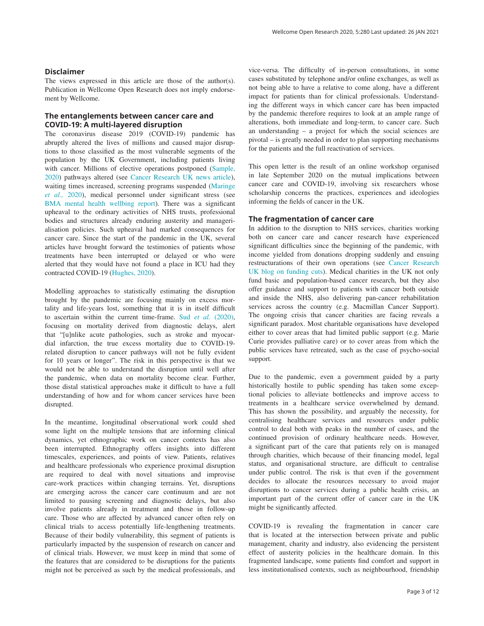#### **Disclaimer**

The views expressed in this article are those of the author(s). Publication in Wellcome Open Research does not imply endorsement by Wellcome.

### **The entanglements between cancer care and COVID-19: A multi-layered disruption**

The coronavirus disease 2019 (COVID-19) pandemic has abruptly altered the lives of millions and caused major disruptions to those classified as the most vulnerable segments of the population by the UK Government, including patients living with cancer. Millions of elective operations postponed [\(Sample,](#page-5-0)  [2020\)](#page-5-0) pathways altered (see [Cancer Research UK news article](https://www.cancerresearchuk.org/about-us/cancer-news/news-report/2020-07-28-one-third-of-cancer-patients-say-coronavirus-has-impacted-their-treatment)), waiting times increased, screening programs suspended [\(Maringe](#page-5-0)  *et al.,* [2020\)](#page-5-0), medical personnel under significant stress (see [BMA mental health wellbing report](https://www.bma.org.uk/media/2475/bma-covid-19-and-nhs-staff-mental-health-wellbeing-report-may-2020.pdf)). There was a significant upheaval to the ordinary activities of NHS trusts, professional bodies and structures already enduring austerity and managerialisation policies. Such upheaval had marked consequences for cancer care. Since the start of the pandemic in the UK, several articles have brought forward the testimonies of patients whose treatments have been interrupted or delayed or who were alerted that they would have not found a place in ICU had they contracted COVID-19 ([Hughes, 2020\)](#page-5-0).

Modelling approaches to statistically estimating the disruption brought by the pandemic are focusing mainly on excess mortality and life-years lost, something that it is in itself difficult to ascertain within the current time-frame. Sud *et al.* [\(2020\)](#page-6-0), focusing on mortality derived from diagnostic delays, alert that "[u]nlike acute pathologies, such as stroke and myocardial infarction, the true excess mortality due to COVID-19 related disruption to cancer pathways will not be fully evident for 10 years or longer". The risk in this perspective is that we would not be able to understand the disruption until well after the pandemic, when data on mortality become clear. Further, those distal statistical approaches make it difficult to have a full understanding of how and for whom cancer services have been disrupted.

In the meantime, longitudinal observational work could shed some light on the multiple tensions that are informing clinical dynamics, yet ethnographic work on cancer contexts has also been interrupted. Ethnography offers insights into different timescales, experiences, and points of view. Patients, relatives and healthcare professionals who experience proximal disruption are required to deal with novel situations and improvise care-work practices within changing terrains. Yet, disruptions are emerging across the cancer care continuum and are not limited to pausing screening and diagnostic delays, but also involve patients already in treatment and those in follow-up care. Those who are affected by advanced cancer often rely on clinical trials to access potentially life-lengthening treatments. Because of their bodily vulnerability, this segment of patients is particularly impacted by the suspension of research on cancer and of clinical trials. However, we must keep in mind that some of the features that are considered to be disruptions for the patients might not be perceived as such by the medical professionals, and vice-versa. The difficulty of in-person consultations, in some cases substituted by telephone and/or online exchanges, as well as not being able to have a relative to come along, have a different impact for patients than for clinical professionals. Understanding the different ways in which cancer care has been impacted by the pandemic therefore requires to look at an ample range of alterations, both immediate and long-term, to cancer care. Such an understanding – a project for which the social sciences are pivotal – is greatly needed in order to plan supporting mechanisms for the patients and the full reactivation of services.

This open letter is the result of an online workshop organised in late September 2020 on the mutual implications between cancer care and COVID-19, involving six researchers whose scholarship concerns the practices, experiences and ideologies informing the fields of cancer in the UK.

#### **The fragmentation of cancer care**

In addition to the disruption to NHS services, charities working both on cancer care and cancer research have experienced significant difficulties since the beginning of the pandemic, with income yielded from donations dropping suddenly and ensuing restructurations of their own operations (see [Cancer Research](https://scienceblog.cancerresearchuk.org/2020/04/16/protecting-our-future-by-taking-action-now-why-were-making-cuts-to-our-research-funding/)  [UK blog on funding cuts](https://scienceblog.cancerresearchuk.org/2020/04/16/protecting-our-future-by-taking-action-now-why-were-making-cuts-to-our-research-funding/)). Medical charities in the UK not only fund basic and population-based cancer research, but they also offer guidance and support to patients with cancer both outside and inside the NHS, also delivering pan-cancer rehabilitation services across the country (e.g. Macmillan Cancer Support). The ongoing crisis that cancer charities are facing reveals a significant paradox. Most charitable organisations have developed either to cover areas that had limited public support (e.g. Marie Curie provides palliative care) or to cover areas from which the public services have retreated, such as the case of psycho-social support.

Due to the pandemic, even a government guided by a party historically hostile to public spending has taken some exceptional policies to alleviate bottlenecks and improve access to treatments in a healthcare service overwhelmed by demand. This has shown the possibility, and arguably the necessity, for centralising healthcare services and resources under public control to deal both with peaks in the number of cases, and the continued provision of ordinary healthcare needs. However, a significant part of the care that patients rely on is managed through charities, which because of their financing model, legal status, and organisational structure, are difficult to centralise under public control. The risk is that even if the government decides to allocate the resources necessary to avoid major disruptions to cancer services during a public health crisis, an important part of the current offer of cancer care in the UK might be significantly affected.

COVID-19 is revealing the fragmentation in cancer care that is located at the intersection between private and public management, charity and industry, also evidencing the persistent effect of austerity policies in the healthcare domain. In this fragmented landscape, some patients find comfort and support in less institutionalised contexts, such as neighbourhood, friendship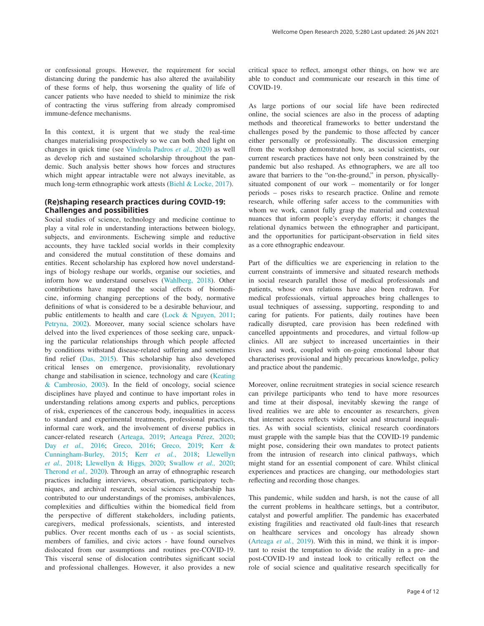In this context, it is urgent that we study the real-time changes materialising prospectively so we can both shed light on changes in quick time (see [Vindrola Padros](#page-6-0) *et al.,* 2020) as well as develop rich and sustained scholarship throughout the pandemic. Such analysis better shows how forces and structures which might appear intractable were not always inevitable, as much long-term ethnographic work attests [\(Biehl & Locke, 2017](#page-5-0)).

#### **(Re)shaping research practices during COVID-19: Challenges and possibilities**

Social studies of science, technology and medicine continue to play a vital role in understanding interactions between biology, subjects, and environments. Eschewing simple and reductive accounts, they have tackled social worlds in their complexity and considered the mutual constitution of these domains and entities. Recent scholarship has explored how novel understandings of biology reshape our worlds, organise our societies, and inform how we understand ourselves [\(Wahlberg, 2018](#page-6-0)). Other contributions have mapped the social effects of biomedicine, informing changing perceptions of the body, normative definitions of what is considered to be a desirable behaviour, and public entitlements to health and care [\(Lock & Nguyen, 2011](#page-5-0); [Petryna, 2002\)](#page-5-0). Moreover, many social science scholars have delved into the lived experiences of those seeking care, unpacking the particular relationships through which people affected by conditions withstand disease-related suffering and sometimes find relief [\(Das, 2015\)](#page-5-0). This scholarship has also developed critical lenses on emergence, provisionality, revolutionary change and stabilisation in science, technology and care [\(Keating](#page-5-0) [& Cambrosio, 2003](#page-5-0)). In the field of oncology, social science disciplines have played and continue to have important roles in understanding relations among experts and publics, perceptions of risk, experiences of the cancerous body, inequalities in access to standard and experimental treatments, professional practices, informal care work, and the involvement of diverse publics in cancer-related research [\(Arteaga, 2019; Arteaga Pérez, 2020;](#page-5-0)  Day *et al.,* [2016;](#page-5-0) [Greco, 2016; Greco, 2019; Kerr &](#page-5-0)  [Cunningham-Burley, 2015; Kerr](#page-5-0) *et al.*, 2018; [Llewellyn](#page-5-0)  *et al.,* [2018; Llewellyn & Higgs](#page-5-0)*,* 2020; [Swallow](#page-6-0) *et al.,* 2020; [Therond](#page-6-0) *et al.,* 2020). Through an array of ethnographic research practices including interviews, observation, participatory techniques, and archival research, social sciences scholarship has contributed to our understandings of the promises, ambivalences, complexities and difficulties within the biomedical field from the perspective of different stakeholders, including patients, caregivers, medical professionals, scientists, and interested publics. Over recent months each of us - as social scientists, members of families, and civic actors - have found ourselves dislocated from our assumptions and routines pre-COVID-19. This visceral sense of dislocation contributes significant social and professional challenges. However, it also provides a new

critical space to reflect, amongst other things, on how we are able to conduct and communicate our research in this time of COVID-19.

As large portions of our social life have been redirected online, the social sciences are also in the process of adapting methods and theoretical frameworks to better understand the challenges posed by the pandemic to those affected by cancer either personally or professionally. The discussion emerging from the workshop demonstrated how, as social scientists, our current research practices have not only been constrained by the pandemic but also reshaped. As ethnographers, we are all too aware that barriers to the "on-the-ground," in person, physicallysituated component of our work – momentarily or for longer periods – poses risks to research practice. Online and remote research, while offering safer access to the communities with whom we work, cannot fully grasp the material and contextual nuances that inform people's everyday efforts; it changes the relational dynamics between the ethnographer and participant, and the opportunities for participant-observation in field sites as a core ethnographic endeavour.

Part of the difficulties we are experiencing in relation to the current constraints of immersive and situated research methods in social research parallel those of medical professionals and patients, whose own relations have also been redrawn. For medical professionals, virtual approaches bring challenges to usual techniques of assessing, supporting, responding to and caring for patients. For patients, daily routines have been radically disrupted, care provision has been redefined with cancelled appointments and procedures, and virtual follow-up clinics. All are subject to increased uncertainties in their lives and work, coupled with on-going emotional labour that characterises provisional and highly precarious knowledge, policy and practice about the pandemic.

Moreover, online recruitment strategies in social science research can privilege participants who tend to have more resources and time at their disposal, inevitably skewing the range of lived realities we are able to encounter as researchers, given that internet access reflects wider social and structural inequalities. As with social scientists, clinical research coordinators must grapple with the sample bias that the COVID-19 pandemic might pose, considering their own mandates to protect patients from the intrusion of research into clinical pathways, which might stand for an essential component of care. Whilst clinical experiences and practices are changing, our methodologies start reflecting and recording those changes.

This pandemic, while sudden and harsh, is not the cause of all the current problems in healthcare settings, but a contributor, catalyst and powerful amplifier. The pandemic has exacerbated existing fragilities and reactivated old fault-lines that research on healthcare services and oncology has already shown ([Arteaga](#page-5-0) *et al.*, 2019). With this in mind, we think it is important to resist the temptation to divide the reality in a pre- and post-COVID-19 and instead look to critically reflect on the role of social science and qualitative research specifically for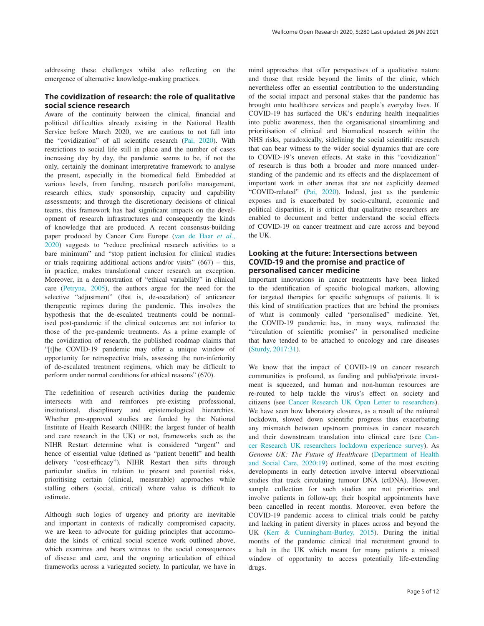addressing these challenges whilst also reflecting on the emergence of alternative knowledge-making practices.

#### **The covidization of research: the role of qualitative social science research**

Aware of the continuity between the clinical, financial and political difficulties already existing in the National Health Service before March 2020, we are cautious to not fall into the "covidization" of all scientific research [\(Pai, 2020\)](#page-5-0). With restrictions to social life still in place and the number of cases increasing day by day, the pandemic seems to be, if not the only, certainly the dominant interpretative framework to analyse the present, especially in the biomedical field. Embedded at various levels, from funding, research portfolio management, research ethics, study sponsorship, capacity and capability assessments; and through the discretionary decisions of clinical teams, this framework has had significant impacts on the development of research infrastructures and consequently the kinds of knowledge that are produced. A recent consensus-building paper produced by Cancer Core Europe [\(van de Haar](#page-6-0) *et al.*, [2020\)](#page-6-0) suggests to "reduce preclinical research activities to a bare minimum" and "stop patient inclusion for clinical studies or trials requiring additional actions and/or visits"  $(667)$  – this, in practice, makes translational cancer research an exception. Moreover, in a demonstration of "ethical variability" in clinical care ([Petryna, 2005\)](#page-5-0), the authors argue for the need for the selective "adjustment" (that is, de-escalation) of anticancer therapeutic regimes during the pandemic. This involves the hypothesis that the de-escalated treatments could be normalised post-pandemic if the clinical outcomes are not inferior to those of the pre-pandemic treatments. As a prime example of the covidization of research, the published roadmap claims that "[t]he COVID-19 pandemic may offer a unique window of opportunity for retrospective trials, assessing the non-inferiority of de-escalated treatment regimens, which may be difficult to perform under normal conditions for ethical reasons" (670).

The redefinition of research activities during the pandemic intersects with and reinforces pre-existing professional, institutional, disciplinary and epistemological hierarchies. Whether pre-approved studies are funded by the National Institute of Health Research (NIHR; the largest funder of health and care research in the UK) or not, frameworks such as the NIHR Restart determine what is considered "urgent" and hence of essential value (defined as "patient benefit" and health delivery "cost-efficacy"). NIHR Restart then sifts through particular studies in relation to present and potential risks, prioritising certain (clinical, measurable) approaches while stalling others (social, critical) where value is difficult to estimate.

Although such logics of urgency and priority are inevitable and important in contexts of radically compromised capacity, we are keen to advocate for guiding principles that accommodate the kinds of critical social science work outlined above, which examines and bears witness to the social consequences of disease and care, and the ongoing articulation of ethical frameworks across a variegated society. In particular, we have in

mind approaches that offer perspectives of a qualitative nature and those that reside beyond the limits of the clinic, which nevertheless offer an essential contribution to the understanding of the social impact and personal stakes that the pandemic has brought onto healthcare services and people's everyday lives. If COVID-19 has surfaced the UK's enduring health inequalities into public awareness, then the organisational streamlining and prioritisation of clinical and biomedical research within the NHS risks, paradoxically, sidelining the social scientific research that can bear witness to the wider social dynamics that are core to COVID-19's uneven effects. At stake in this "covidization" of research is thus both a broader and more nuanced understanding of the pandemic and its effects and the displacement of important work in other arenas that are not explicitly deemed "COVID-related" [\(Pai, 2020](#page-5-0)). Indeed, just as the pandemic exposes and is exacerbated by socio-cultural, economic and political disparities, it is critical that qualitative researchers are enabled to document and better understand the social effects of COVID-19 on cancer treatment and care across and beyond the UK.

#### **Looking at the future: Intersections between COVID-19 and the promise and practice of personalised cancer medicine**

Important innovations in cancer treatments have been linked to the identification of specific biological markers, allowing for targeted therapies for specific subgroups of patients. It is this kind of stratification practices that are behind the promises of what is commonly called "personalised" medicine. Yet, the COVID-19 pandemic has, in many ways, redirected the "circulation of scientific promises" in personalised medicine that have tended to be attached to oncology and rare diseases ([Sturdy, 2017:31](#page-6-0)).

We know that the impact of COVID-19 on cancer research communities is profound, as funding and public/private investment is squeezed, and human and non-human resources are re-routed to help tackle the virus's effect on society and citizens (see [Cancer Research UK Open Letter to researchers](https://www.cancerresearchuk.org/funding-for-researchers/research-features/2020-04-06-covid-19-open-letter-to-cancer-researchers)). We have seen how laboratory closures, as a result of the national lockdown, slowed down scientific progress thus exacerbating any mismatch between upstream promises in cancer research and their downstream translation into clinical care (see [Can](https://www.cancerresearchuk.org/funding-for-researchers/research-features/2020-06-25-lockdown-reflections-survey-reveals-researchers-experiences)[cer Research UK researchers lockdown experience survey](https://www.cancerresearchuk.org/funding-for-researchers/research-features/2020-06-25-lockdown-reflections-survey-reveals-researchers-experiences)). As *Genome UK: The Future of Healthcare* [\(Department of Health](#page-5-0)  [and Social Care, 2020:19\)](#page-5-0) outlined, some of the most exciting developments in early detection involve interval observational studies that track circulating tumour DNA (ctDNA). However, sample collection for such studies are not priorities and involve patients in follow-up; their hospital appointments have been cancelled in recent months. Moreover, even before the COVID-19 pandemic access to clinical trials could be patchy and lacking in patient diversity in places across and beyond the UK [\(Kerr & Cunningham-Burley, 2015](#page-5-0)). During the initial months of the pandemic clinical trial recruitment ground to a halt in the UK which meant for many patients a missed window of opportunity to access potentially life-extending drugs.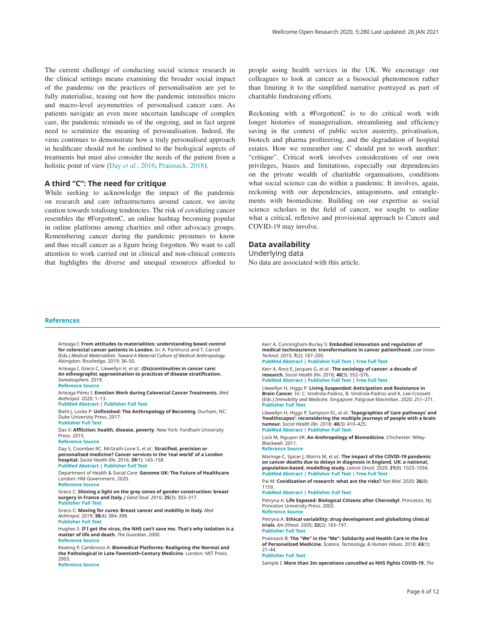<span id="page-5-0"></span>The current challenge of conducting social science research in the clinical settings means examining the broader social impact of the pandemic on the practices of personalisation are yet to fully materialise, teasing out how the pandemic intensifies micro and macro-level asymmetries of personalised cancer care. As patients navigate an even more uncertain landscape of complex care, the pandemic reminds us of the ongoing, and in fact urgent need to scrutinize the meaning of personalisation. Indeed, the virus continues to demonstrate how a truly personalised approach in healthcare should not be confined to the biological aspects of treatments but must also consider the needs of the patient from a holistic point of view (Day *et al.*, 2016; Prainsack, 2018).

#### **A third "C": The need for critique**

While seeking to acknowledge the impact of the pandemic on research and care infrastructures around cancer, we invite caution towards totalising tendencies. The risk of covidizing cancer resembles the #ForgottenC, an online hashtag becoming popular in online platforms among charities and other advocacy groups. Remembering cancer during the pandemic presumes to know and thus recall cancer as a figure being forgotten. We want to call attention to work carried out in clinical and non-clinical contexts that highlights the diverse and unequal resources afforded to people using health services in the UK. We encourage our colleagues to look at cancer as a biosocial phenomenon rather than limiting it to the simplified narrative portrayed as part of charitable fundraising efforts.

Reckoning with a #ForgottenC is to do critical work with longer histories of managerialism, streamlining and efficiency saving in the context of public sector austerity, privatisation, biotech and pharma profiteering, and the degradation of hospital estates. How we remember one C should put to work another: "critique". Critical work involves considerations of our own privileges, biases and limitations, especially our dependencies on the private wealth of charitable organisations, conditions what social science can do within a pandemic. It involves, again, reckoning with our dependencies, antagonisms, and entanglements with biomedicine. Building on our expertise as social science scholars in the field of cancer, we sought to outline what a critical, reflexive and provisional approach to Cancer and COVID-19 may involve.

#### **Data availability**

Underlying data No data are associated with this article.

#### **References**

Arteaga I: **From attitudes to materialities: understanding bowel control for colorectal cancer patients in London**. In: A. Parkhurst and T. Carroll (Eds.) *Medical Materialities: Toward A Material Culture of Medical Anthropology.* Abingdon: Routledge. 2019; 36–50.

Arteaga I, Greco C, Llewellyn H, *et al.*: **(Dis)continuities in cancer care: An ethnographic approximation to practices of disease stratification.** *Somatosphere.* 2019. **[Reference Source](http://somatosphere.net/2019/discontinuities-in-cancer-care-an-ethnographic-approximation-to-practices-of-disease-stratification.html/)**

Arteaga Pérez I: **Emotion Work during Colorectal Cancer Treatments.** *Med Anthropol.* 2020; 1–13.

**[PubMed Abstract](http://www.ncbi.nlm.nih.gov/pubmed/32870713)** | **[Publisher Full Text](http://dx.doi.org/10.1080/01459740.2020.1808976)**

Biehl J, Locke P: **Unfinished: The Anthropology of Becoming**. Durham, NC: Duke University Press. 2017.

#### **[Publisher Full Text](http://dx.doi.org/10.1215/9780822372455-002)**

Das V: **Affliction: health, disease, poverty**. New York: Fordham University Press. 2015.

#### **[Reference Source](https://www.jstor.org/stable/j.ctt1287ft5)**

Day S, Coombes RC, McGrath-Lone S, *et al.*: **Stratified, precision or personalised medicine? Cancer services in the 'real world' of a London hospital.** *Sociol Health Illn.* 2016; **39**(1): 143–158. **[PubMed Abstract](http://www.ncbi.nlm.nih.gov/pubmed/27460935)** | **[Publisher Full Text](http://dx.doi.org/10.1111/1467-9566.12457)**

Department of Health & Social Care: **Genome UK: The Future of Healthcare**. London: HM Government. 2020. **[Reference Source](https://assets.publishing.service.gov.uk/government/uploads/system/uploads/attachment_data/file/920378/Genome_UK_-_the_future_of_healthcare.pdf)**

Greco C: **Shining a light on the grey zones of gender construction: breast surgery in France and Italy.** *J Gend Stud.* 2016; **25**(3): 303–317. **[Publisher Full Text](http://dx.doi.org/10.1080/09589236.2014.987653)**

Greco C: **Moving for cures: Breast cancer and mobility in Italy.** *Med Anthropol.* 2019; **38**(4): 384–398.

#### **[Publisher Full Text](http://dx.doi.org/10.1080/01459740.2019.1592171)**

Hughes S: **If I get the virus, the NHS can't save me. That's why isolation is a matter of life and death.** *The Guardian.* 2000. **[Reference Source](https://www.theguardian.com/world/2020/mar/29/why-isolation-is-a-matter-of-life-and-death-covid-19-cancer-)**

Keating P, Cambrosio A: **Biomedical Platforms: Realigning the Normal and the Pathological in Late-Twentieth-Century Medicine**. London: MIT Press. 2003.

#### **[Reference Source](https://mitpress.mit.edu/books/biomedical-platforms)**

Kerr A, Cunningham-Burley S: **Embodied innovation and regulation of medical technoscience: transformations in cancer patienthood.** *Law Innov Technol.* 2015; **7**(2): 187–205.

**[PubMed Abstract](http://www.ncbi.nlm.nih.gov/pubmed/27996062)** | **[Publisher Full Text](http://dx.doi.org/10.1080/17579961.2015.1106103)** | **[Free Full Text](http://www.ncbi.nlm.nih.gov/pmc/articles/5139616)** Kerr A, Ross E, Jacques G, *et al.*: **The sociology of cancer: a decade of** 

**research.** *Sociol Health Illn.* 2018; **40**(3): 552–576. **[PubMed Abstract](http://www.ncbi.nlm.nih.gov/pubmed/29446117)** | **[Publisher Full Text](http://dx.doi.org/10.1111/1467-9566.12662)** | **[Free Full Text](http://www.ncbi.nlm.nih.gov/pmc/articles/5901049)**

Llewellyn H, Higgs P: **Living Suspended: Anticipation and Resistance in Brain Cancer**. In: C. Vindrola-Padros, B. Vindrola-Padros and K. Lee-Crossett (Eds.) *Immobility and Medicine.* Singapore: Palgrave Macmillan. 2020; 251–271. **[Publisher Full Text](http://dx.doi.org/10.1007/978-981-15-4976-2_12)**

Llewellyn H, Higgs P, Sampson EL, *et al.*: **Topographies of 'care pathways' and 'healthscapes': reconsidering the multiple journeys of people with a brain tumour.** *Sociol Health Illn.* 2018; **40**(3): 410–425. **[PubMed Abstract](http://www.ncbi.nlm.nih.gov/pubmed/29230815)** | **[Publisher Full Text](http://dx.doi.org/10.1111/1467-9566.12630)**

Lock M, Nguyen VK: **An Anthropology of Biomedicine**. Chichester: Wiley-Blackwell. 2011.

#### **[Reference Source](https://books.google.co.in/books?id=cY_iKTVoRJIC&printsec=frontcover&source=gbs_ge_summary_r&cad=0#v=onepage&q&f=false)**

Maringe C, Spicer J, Morris M, *et al.*: **The impact of the COVID-19 pandemic on cancer deaths due to delays in diagnosis in England, UK: a national, population-based, modelling study.** *Lancet Oncol.* 2020; **21**(8): 1023–1034. **[PubMed Abstract](http://www.ncbi.nlm.nih.gov/pubmed/32702310)** | **[Publisher Full Text](http://dx.doi.org/10.1016/S1470-2045(20)30388-0)** | **[Free Full Text](http://www.ncbi.nlm.nih.gov/pmc/articles/7417808)**

Pai M: **Covidization of research: what are the risks?** *Nat Med.* 2020; **26**(8): 1159.

#### **[PubMed Abstract](http://www.ncbi.nlm.nih.gov/pubmed/32719486)** | **[Publisher Full Text](http://dx.doi.org/10.1038/s41591-020-1015-0)**

Petryna A: **Life Exposed: Biological Citizens after Chernobyl**. Princeton, NJ: Princeton University Press. 2002. **[Reference Source](https://books.google.co.in/books?id=XAEhbP5LDXgC&printsec=frontcover&source=gbs_ge_summary_r&cad=0#v=onepage&q&f=false)**

Petryna A: **Ethical variability: drug development and globalizing clinical trials.** *Am Ethnol.* 2005; **32**(2): 183–197. **[Publisher Full Text](http://dx.doi.org/10.1525/ae.2005.32.2.183)**

Prainsack B: **The "We" in the "Me": Solidarity and Health Care in the Era of Personalized Medicine.** *Science, Technology, & Human Values.* 2018; **43**(1): 21–44. **[Publisher Full Text](http://dx.doi.org/10.1177/0162243917736139)**

Sample I: **More than 2m operations cancelled as NHS fights COVID-19.** *The*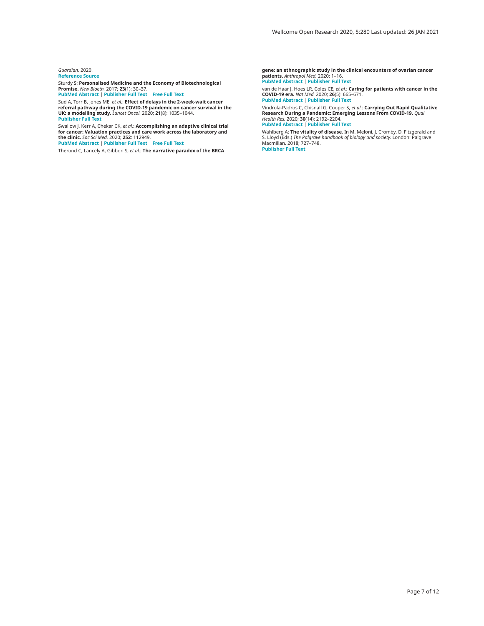#### <span id="page-6-0"></span>*Guardian.* 2020. **[Reference Source](https://www.theguardian.com/society/2020/apr/26/more-than-two-million-operations-cancelled-as-nhs-fights-covid-19)**

Sturdy S: **Personalised Medicine and the Economy of Biotechnological** 

**Promise.** *New Bioeth.* 2017; **23**(1): 30–37. **[PubMed Abstract](http://www.ncbi.nlm.nih.gov/pubmed/28517983)** | **[Publisher Full Text](http://dx.doi.org/10.1080/20502877.2017.1314892)** | **[Free Full Text](http://www.ncbi.nlm.nih.gov/pmc/articles/5448396)**

Sud A, Torr B, Jones ME, *et al.*: **Effect of delays in the 2-week-wait cancer**<br>r**eferral pathway during the COVID-19 pandemic on cancer survival in the<br>UK: a modelling study.** *Lancet Oncol.* **2020; 21(8): 1035–1044. [Publisher Full Text](http://dx.doi.org/10.1016/S1470-2045(20)30392-2)**

Swallow J, Kerr A, Chekar CK, *et al.*: **Accomplishing an adaptive clinical trial**<br>for cancer: Valuation practices and care work across the laboratory and<br>the clinic. Soc Sci Med. 2020; 252: 112949.

**[PubMed Abstract](http://www.ncbi.nlm.nih.gov/pubmed/32278242)** | **[Publisher Full Text](http://dx.doi.org/10.1016/j.socscimed.2020.112949)** | **[Free Full Text](http://www.ncbi.nlm.nih.gov/pmc/articles/7193889)**

Therond C, Lancely A, Gibbon S, *et al.*: **The narrative paradox of the BRCA** 

**gene: an ethnographic study in the clinical encounters of ovarian cancer patients.** *Anthropol Med.* 2020; 1–16. **[PubMed Abstract](http://www.ncbi.nlm.nih.gov/pubmed/32009452)** | **[Publisher Full Text](http://dx.doi.org/10.1080/13648470.2019.1663784)**

van de Haar J, Hoes LR, Coles CE*, et al.*: **Caring for patients with cancer in the**<br>**COVID-19 era.** *Nat Med. 2*020; 26(5): 665–671.<br>**[PubMed Abstract](http://www.ncbi.nlm.nih.gov/pubmed/32405058) | [Publisher Full Text](http://dx.doi.org/10.1038/s41591-020-0874-8)** 

Vindrola-Padros C, Chisnall G, Cooper S, *et αl*.: **Carrying Out Rapid Qualitative**<br>Research During a Pandemic: Emerging Lessons From COVID-19. *Qual*<br>*Health Res.* 2020; **30**(14): 2192–2204. **[PubMed Abstract](http://www.ncbi.nlm.nih.gov/pubmed/32865149)** | **[Publisher Full Text](http://dx.doi.org/10.1177/1049732320951526)**

Wahlberg A: **The vitality of disease**. In M. Meloni, J. Cromby, D. Fitzgerald and<br>S. Lloyd (Eds.) *The Palgrave handbook of biology and society.* London: Palgrave<br>Macmillan. 2018; 727–748.<br>**[Publisher Full Text](http://dx.doi.org/10.1057/978-1-137-52879-7_31)**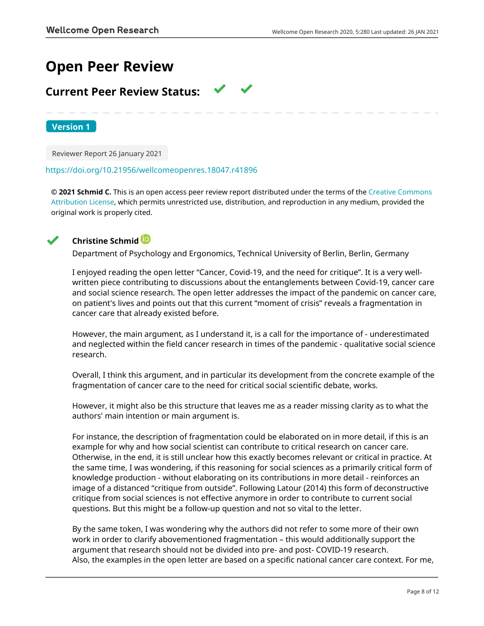# **Open Peer Review**

## **Current Peer Review Status:**

**Version 1**

Reviewer Report 26 January 2021

### <https://doi.org/10.21956/wellcomeopenres.18047.r41896>

**© 2021 Schmid C.** This is an open access peer review report distributed under the terms of the [Creative Commons](https://creativecommons.org/licenses/by/4.0/) [Attribution License](https://creativecommons.org/licenses/by/4.0/), which permits unrestricted use, distribution, and reproduction in any medium, provided the original work is properly cited.



## **Christine Schmid**

Department of Psychology and Ergonomics, Technical University of Berlin, Berlin, Germany

I enjoyed reading the open letter "Cancer, Covid-19, and the need for critique". It is a very wellwritten piece contributing to discussions about the entanglements between Covid-19, cancer care and social science research. The open letter addresses the impact of the pandemic on cancer care, on patient's lives and points out that this current "moment of crisis" reveals a fragmentation in cancer care that already existed before.

However, the main argument, as I understand it, is a call for the importance of - underestimated and neglected within the field cancer research in times of the pandemic - qualitative social science research.

Overall, I think this argument, and in particular its development from the concrete example of the fragmentation of cancer care to the need for critical social scientific debate, works.

However, it might also be this structure that leaves me as a reader missing clarity as to what the authors' main intention or main argument is.

For instance, the description of fragmentation could be elaborated on in more detail, if this is an example for why and how social scientist can contribute to critical research on cancer care. Otherwise, in the end, it is still unclear how this exactly becomes relevant or critical in practice. At the same time, I was wondering, if this reasoning for social sciences as a primarily critical form of knowledge production - without elaborating on its contributions in more detail - reinforces an image of a distanced "critique from outside". Following Latour (2014) this form of deconstructive critique from social sciences is not effective anymore in order to contribute to current social questions. But this might be a follow-up question and not so vital to the letter.

By the same token, I was wondering why the authors did not refer to some more of their own work in order to clarify abovementioned fragmentation – this would additionally support the argument that research should not be divided into pre- and post- COVID-19 research. Also, the examples in the open letter are based on a specific national cancer care context. For me,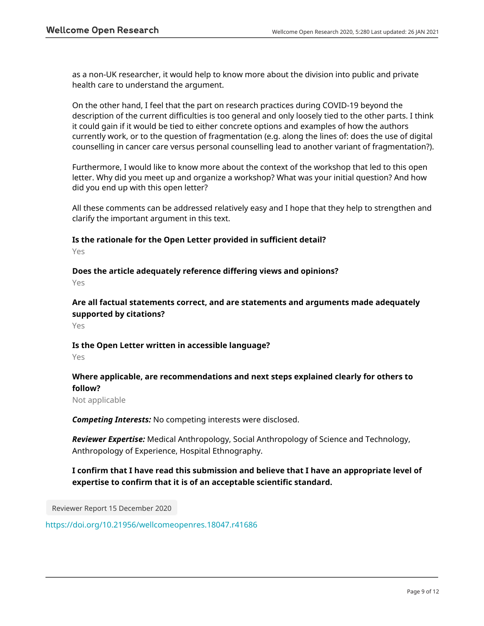as a non-UK researcher, it would help to know more about the division into public and private health care to understand the argument.

On the other hand, I feel that the part on research practices during COVID-19 beyond the description of the current difficulties is too general and only loosely tied to the other parts. I think it could gain if it would be tied to either concrete options and examples of how the authors currently work, or to the question of fragmentation (e.g. along the lines of: does the use of digital counselling in cancer care versus personal counselling lead to another variant of fragmentation?).

Furthermore, I would like to know more about the context of the workshop that led to this open letter. Why did you meet up and organize a workshop? What was your initial question? And how did you end up with this open letter?

All these comments can be addressed relatively easy and I hope that they help to strengthen and clarify the important argument in this text.

## **Is the rationale for the Open Letter provided in sufficient detail?**

Yes

**Does the article adequately reference differing views and opinions?**

Yes

**Are all factual statements correct, and are statements and arguments made adequately supported by citations?**

Yes

## **Is the Open Letter written in accessible language?**

Yes

## **Where applicable, are recommendations and next steps explained clearly for others to follow?**

Not applicable

*Competing Interests:* No competing interests were disclosed.

*Reviewer Expertise:* Medical Anthropology, Social Anthropology of Science and Technology, Anthropology of Experience, Hospital Ethnography.

## **I confirm that I have read this submission and believe that I have an appropriate level of expertise to confirm that it is of an acceptable scientific standard.**

Reviewer Report 15 December 2020

<https://doi.org/10.21956/wellcomeopenres.18047.r41686>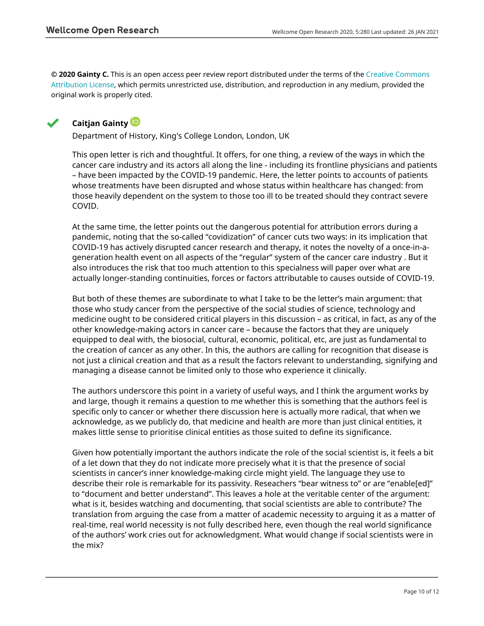**© 2020 Gainty C.** This is an open access peer review report distributed under the terms of the [Creative Commons](https://creativecommons.org/licenses/by/4.0/) [Attribution License](https://creativecommons.org/licenses/by/4.0/), which permits unrestricted use, distribution, and reproduction in any medium, provided the original work is properly cited.



## **Caitjan Gainty**

Department of History, King's College London, London, UK

This open letter is rich and thoughtful. It offers, for one thing, a review of the ways in which the cancer care industry and its actors all along the line - including its frontline physicians and patients – have been impacted by the COVID-19 pandemic. Here, the letter points to accounts of patients whose treatments have been disrupted and whose status within healthcare has changed: from those heavily dependent on the system to those too ill to be treated should they contract severe COVID.

At the same time, the letter points out the dangerous potential for attribution errors during a pandemic, noting that the so-called "covidization" of cancer cuts two ways: in its implication that COVID-19 has actively disrupted cancer research and therapy, it notes the novelty of a once-in-ageneration health event on all aspects of the "regular" system of the cancer care industry . But it also introduces the risk that too much attention to this specialness will paper over what are actually longer-standing continuities, forces or factors attributable to causes outside of COVID-19.

But both of these themes are subordinate to what I take to be the letter's main argument: that those who study cancer from the perspective of the social studies of science, technology and medicine ought to be considered critical players in this discussion – as critical, in fact, as any of the other knowledge-making actors in cancer care – because the factors that they are uniquely equipped to deal with, the biosocial, cultural, economic, political, etc, are just as fundamental to the creation of cancer as any other. In this, the authors are calling for recognition that disease is not just a clinical creation and that as a result the factors relevant to understanding, signifying and managing a disease cannot be limited only to those who experience it clinically.

The authors underscore this point in a variety of useful ways, and I think the argument works by and large, though it remains a question to me whether this is something that the authors feel is specific only to cancer or whether there discussion here is actually more radical, that when we acknowledge, as we publicly do, that medicine and health are more than just clinical entities, it makes little sense to prioritise clinical entities as those suited to define its significance.

Given how potentially important the authors indicate the role of the social scientist is, it feels a bit of a let down that they do not indicate more precisely what it is that the presence of social scientists in cancer's inner knowledge-making circle might yield. The language they use to describe their role is remarkable for its passivity. Reseachers "bear witness to" or are "enable[ed]" to "document and better understand". This leaves a hole at the veritable center of the argument: what is it, besides watching and documenting, that social scientists are able to contribute? The translation from arguing the case from a matter of academic necessity to arguing it as a matter of real-time, real world necessity is not fully described here, even though the real world significance of the authors' work cries out for acknowledgment. What would change if social scientists were in the mix?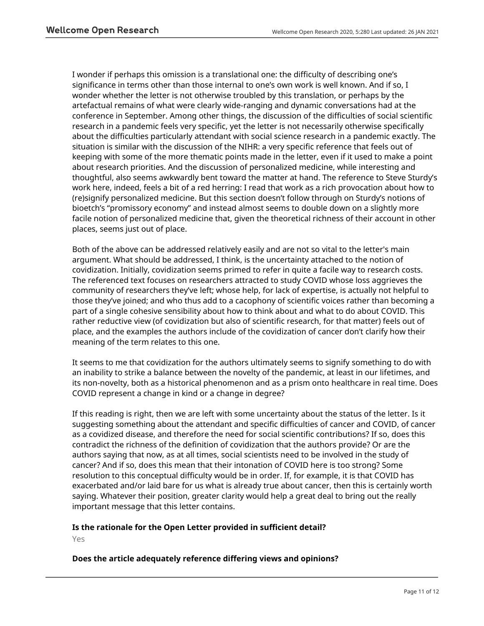I wonder if perhaps this omission is a translational one: the difficulty of describing one's significance in terms other than those internal to one's own work is well known. And if so, I wonder whether the letter is not otherwise troubled by this translation, or perhaps by the artefactual remains of what were clearly wide-ranging and dynamic conversations had at the conference in September. Among other things, the discussion of the difficulties of social scientific research in a pandemic feels very specific, yet the letter is not necessarily otherwise specifically about the difficulties particularly attendant with social science research in a pandemic exactly. The situation is similar with the discussion of the NIHR: a very specific reference that feels out of keeping with some of the more thematic points made in the letter, even if it used to make a point about research priorities. And the discussion of personalized medicine, while interesting and thoughtful, also seems awkwardly bent toward the matter at hand. The reference to Steve Sturdy's work here, indeed, feels a bit of a red herring: I read that work as a rich provocation about how to (re)signify personalized medicine. But this section doesn't follow through on Sturdy's notions of bioetch's "promissory economy" and instead almost seems to double down on a slightly more facile notion of personalized medicine that, given the theoretical richness of their account in other places, seems just out of place.

Both of the above can be addressed relatively easily and are not so vital to the letter's main argument. What should be addressed, I think, is the uncertainty attached to the notion of covidization. Initially, covidization seems primed to refer in quite a facile way to research costs. The referenced text focuses on researchers attracted to study COVID whose loss aggrieves the community of researchers they've left; whose help, for lack of expertise, is actually not helpful to those they've joined; and who thus add to a cacophony of scientific voices rather than becoming a part of a single cohesive sensibility about how to think about and what to do about COVID. This rather reductive view (of covidization but also of scientific research, for that matter) feels out of place, and the examples the authors include of the covidization of cancer don't clarify how their meaning of the term relates to this one.

It seems to me that covidization for the authors ultimately seems to signify something to do with an inability to strike a balance between the novelty of the pandemic, at least in our lifetimes, and its non-novelty, both as a historical phenomenon and as a prism onto healthcare in real time. Does COVID represent a change in kind or a change in degree?

If this reading is right, then we are left with some uncertainty about the status of the letter. Is it suggesting something about the attendant and specific difficulties of cancer and COVID, of cancer as a covidized disease, and therefore the need for social scientific contributions? If so, does this contradict the richness of the definition of covidization that the authors provide? Or are the authors saying that now, as at all times, social scientists need to be involved in the study of cancer? And if so, does this mean that their intonation of COVID here is too strong? Some resolution to this conceptual difficulty would be in order. If, for example, it is that COVID has exacerbated and/or laid bare for us what is already true about cancer, then this is certainly worth saying. Whatever their position, greater clarity would help a great deal to bring out the really important message that this letter contains.

## **Is the rationale for the Open Letter provided in sufficient detail?**

Yes

## **Does the article adequately reference differing views and opinions?**